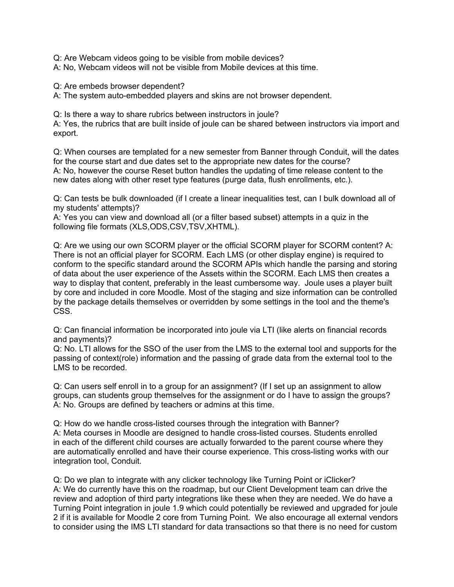Q: Are Webcam videos going to be visible from mobile devices?

A: No, Webcam videos will not be visible from Mobile devices at this time.

Q: Are embeds browser dependent?

A: The system auto-embedded players and skins are not browser dependent.

Q: Is there a way to share rubrics between instructors in joule?

A: Yes, the rubrics that are built inside of joule can be shared between instructors via import and export.

Q: When courses are templated for a new semester from Banner through Conduit, will the dates for the course start and due dates set to the appropriate new dates for the course? A: No, however the course Reset button handles the updating of time release content to the new dates along with other reset type features (purge data, flush enrollments, etc.).

Q: Can tests be bulk downloaded (if I create a linear inequalities test, can I bulk download all of my students' attempts)?

A: Yes you can view and download all (or a filter based subset) attempts in a quiz in the following file formats (XLS,ODS,CSV,TSV,XHTML).

Q: Are we using our own SCORM player or the official SCORM player for SCORM content? A: There is not an official player for SCORM. Each LMS (or other display engine) is required to conform to the specific standard around the SCORM APIs which handle the parsing and storing of data about the user experience of the Assets within the SCORM. Each LMS then creates a way to display that content, preferably in the least cumbersome way. Joule uses a player built by core and included in core Moodle. Most of the staging and size information can be controlled by the package details themselves or overridden by some settings in the tool and the theme's CSS.

Q: Can financial information be incorporated into joule via LTI (like alerts on financial records and payments)?

Q: No. LTI allows for the SSO of the user from the LMS to the external tool and supports for the passing of context(role) information and the passing of grade data from the external tool to the LMS to be recorded.

Q: Can users self enroll in to a group for an assignment? (If I set up an assignment to allow groups, can students group themselves for the assignment or do I have to assign the groups? A: No. Groups are defined by teachers or admins at this time.

Q: How do we handle cross-listed courses through the integration with Banner? A: Meta courses in Moodle are designed to handle cross-listed courses. Students enrolled in each of the different child courses are actually forwarded to the parent course where they are automatically enrolled and have their course experience. This cross-listing works with our integration tool, Conduit.

Q: Do we plan to integrate with any clicker technology like Turning Point or iClicker? A: We do currently have this on the roadmap, but our Client Development team can drive the review and adoption of third party integrations like these when they are needed. We do have a Turning Point integration in joule 1.9 which could potentially be reviewed and upgraded for joule 2 if it is available for Moodle 2 core from Turning Point. We also encourage all external vendors to consider using the IMS LTI standard for data transactions so that there is no need for custom